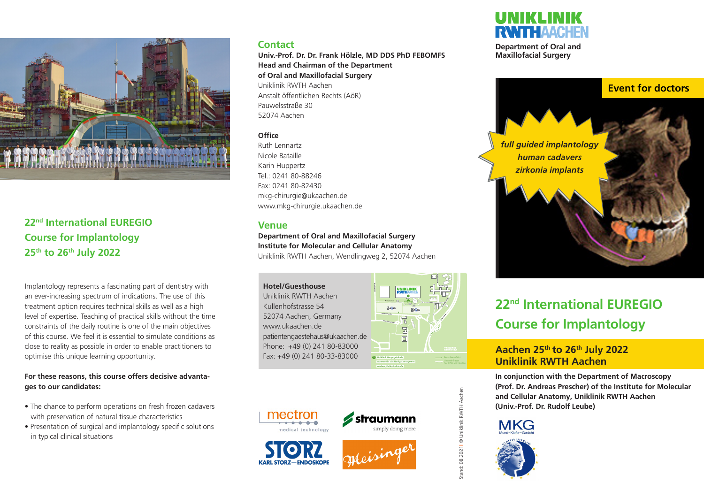

**22nd International EUREGIO Course for Implantology 25th to 26th July 2022**

Implantology represents a fascinating part of dentistry with an ever-increasing spectrum of indications. The use of this treatment option requires technical skills as well as a high level of expertise. Teaching of practical skills without the time constraints of the daily routine is one of the main objectives of this course. We feel it is essential to simulate conditions as close to reality as possible in order to enable practitioners to optimise this unique learning opportunity.

#### **For these reasons, this course offers decisive advantages to our candidates:**

- The chance to perform operations on fresh frozen cadavers with preservation of natural tissue characteristics
- Presentation of surgical and implantology specific solutions in typical clinical situations

### **Contact**

**Univ.-Prof. Dr. Dr. Frank Hölzle, MD DDS PhD FEBOMFS Head and Chairman of the Department of Oral and Maxillofacial Surgery** Uniklinik RWTH Aachen Anstalt öffentlichen Rechts (AöR) Pauwelsstraße 30 52074 Aachen

#### **Office**

Ruth Lennartz Nicole Bataille Karin Huppertz Tel.: 0241 80-88246 Fax: 0241 80-82430 mkg-chirurgie@ukaachen.de www.mkg-chirurgie.ukaachen.de

#### **Venue**

**Department of Oral and Maxillofacial Surgery Institute for Molecular and Cellular Anatomy** Uniklinik RWTH Aachen, Wendlingweg 2, 52074 Aachen

**Hotel/Guesthouse Steinbergweg** Uniklinik RWTH Aachen **Eingang** Kullenhofstrasse 54 **P<sub>2</sub> P<sub>2</sub> P**<sub>2</sub> 52074 Aachen, Germany **Hans-Böckler-Allee** www.ukaachen.de  $\begin{array}{|c|c|}\hline \textbf{H} & \textbf{H} \\\hline \end{array}$ patientengaestehaus@ukaachen.de Phone: +49 (0) 241 80-83000 Fax: +49 (0) 241 80-33-83000 **Uniklinik Hauptgebäude Adresse für das Navigationssystem:**









**Aachen, Kullenhofstraße**



**Department of Oral and Maxillofacial Surgery**



# **BUS 22nd International EUREGIO Course for Implantology**

## **Aachen 25th to 26th July 2022 Uniklinik RWTH Aachen**

**In conjunction with the Department of Macroscopy (Prof. Dr. Andreas Prescher) of the Institute for Molecular and Cellular Anatomy, Uniklinik RWTH Aachen (Univ.-Prof. Dr. Rudolf Leube)**





Stand: 08.2021**l** © Uniklinik RWTH Aachen

stand: 08.20211 @ Uniklinik RWTH Aachen

**Worringerweg**

**Forckenbeckstraße Pariser Ring**